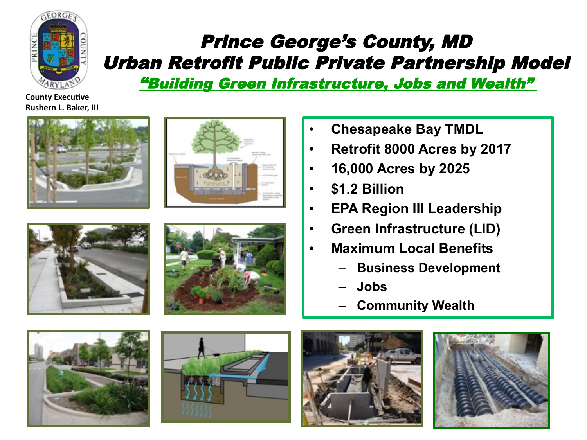

#### Prince George's County, MD Urban Retrofit Public Private Partnership Model

"Building Green Infrastructure, Jobs and Wealth"

**County Executive Rushern L. Baker, III** 









- **Chesapeake Bay TMDL**
- **Retrofit 8000 Acres by 2017**
- **16,000 Acres by 2025**
- **\$1.2 Billion**
- **EPA Region III Leadership**
- **Green Infrastructure (LID)**
- **Maximum Local Benefits**
	- **Business Development**
	- **Jobs**
	- **Community Wealth**







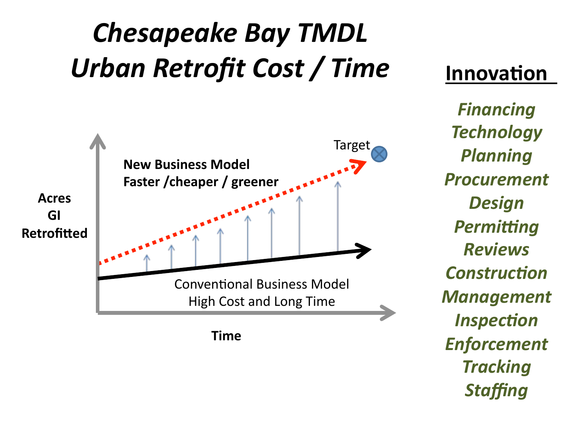## **Chesapeake Bay TMDL** Urban Retrofit Cost / Time



#### **Innovation**

*Financing(* **Technology** *Planning( Procurement( Design(* **Permitting** *Reviews(* **Construction Management** *Inspection Enforcement( Tracking(* **Staffing**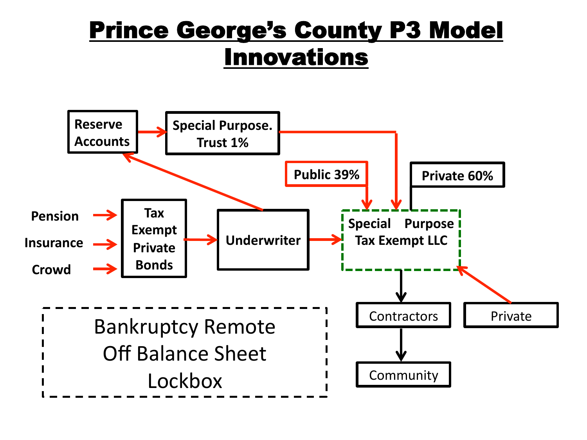#### Prince George's County P3 Model Innovations

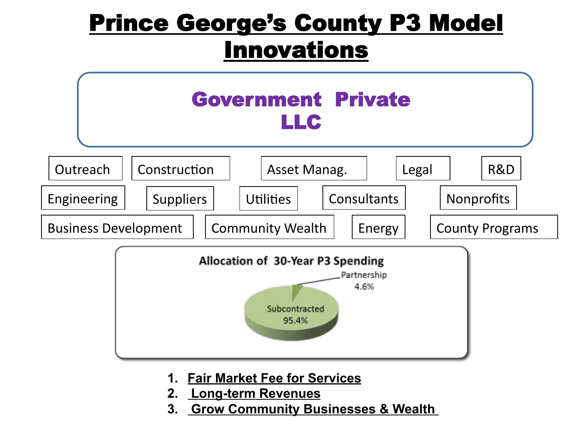#### Prince George's County P3 Model Innovations



- **1. Fair Market Fee for Services**
- **2. Long-term Revenues**
- **3. Grow Community Businesses & Wealth**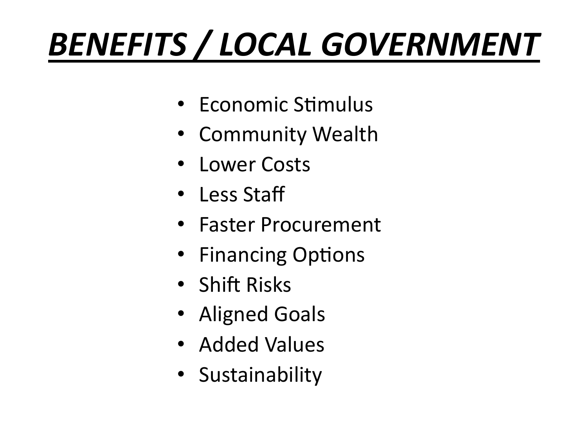# **BENEFITS / LOCAL GOVERNMENT**

- Economic Stimulus
- Community Wealth
- Lower Costs
- Less Staff
- Faster Procurement
- Financing Options
- $\cdot$  Shift Risks
- Aligned Goals
- Added Values
- Sustainability)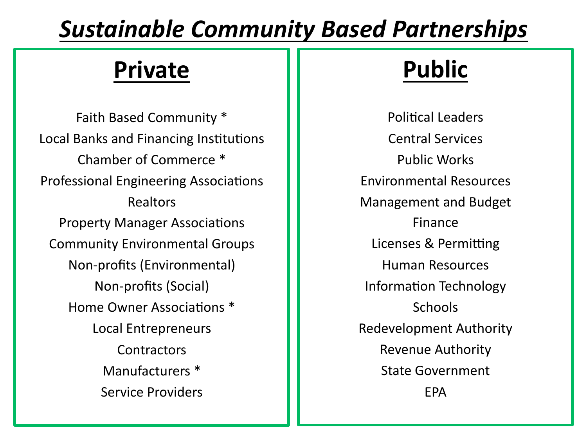#### **Sustainable Community Based Partnerships**

#### **Private'**

Faith Based Community \* Local Banks and Financing Institutions Chamber of Commerce<sup>\*</sup> Professional Engineering Associations Realtors)) Property Manager Associations Community Environmental Groups Non-profits (Environmental) Non-profits (Social) Home Owner Associations<sup>\*</sup> Local Entrepreneurs **Contractors** Manufacturers<sup>\*</sup> Service Providers

### **Public'**

Political Leaders Central Services Public)Works)) Environmental Resources Management and Budget Finance) Licenses & Permitting Human Resources Information Technology Schools)) Redevelopment Authority Revenue Authority State Government EPA)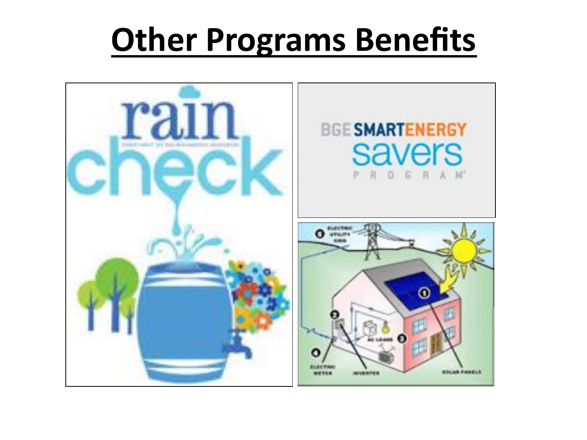## **Other Programs Benefits**